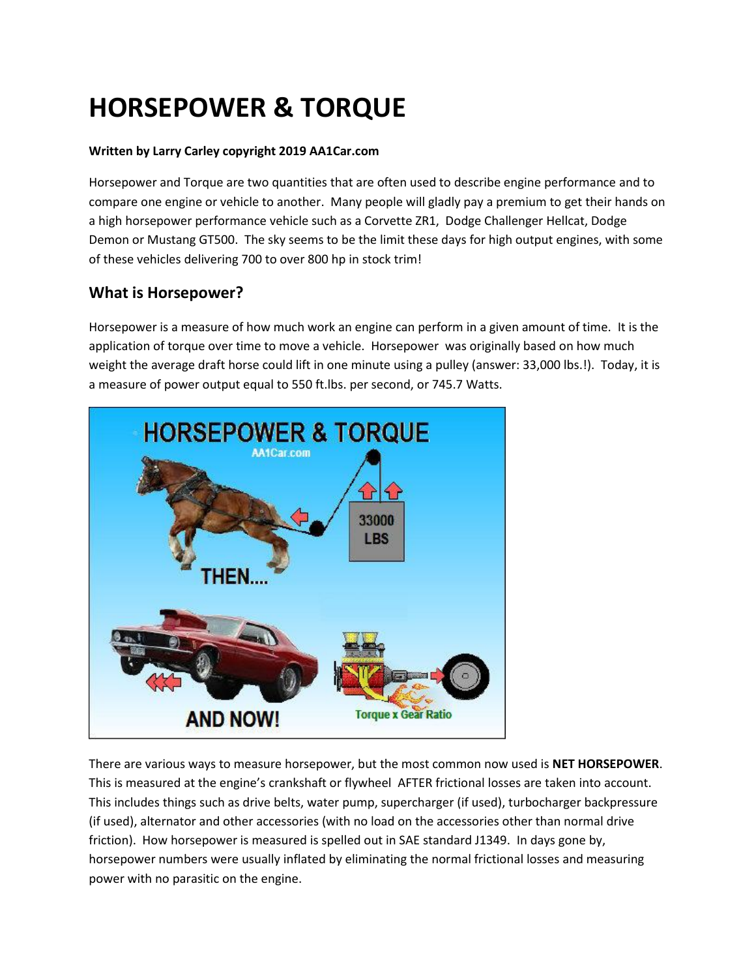# **HORSEPOWER & TORQUE**

#### **Written by Larry Carley copyright 2019 AA1Car.com**

Horsepower and Torque are two quantities that are often used to describe engine performance and to compare one engine or vehicle to another. Many people will gladly pay a premium to get their hands on a high horsepower performance vehicle such as a Corvette ZR1, Dodge Challenger Hellcat, Dodge Demon or Mustang GT500. The sky seems to be the limit these days for high output engines, with some of these vehicles delivering 700 to over 800 hp in stock trim!

# **What is Horsepower?**

Horsepower is a measure of how much work an engine can perform in a given amount of time. It is the application of torque over time to move a vehicle. Horsepower was originally based on how much weight the average draft horse could lift in one minute using a pulley (answer: 33,000 lbs.!). Today, it is a measure of power output equal to 550 ft.lbs. per second, or 745.7 Watts.



There are various ways to measure horsepower, but the most common now used is **NET HORSEPOWER**. This is measured at the engine's crankshaft or flywheel AFTER frictional losses are taken into account. This includes things such as drive belts, water pump, supercharger (if used), turbocharger backpressure (if used), alternator and other accessories (with no load on the accessories other than normal drive friction). How horsepower is measured is spelled out in SAE standard J1349. In days gone by, horsepower numbers were usually inflated by eliminating the normal frictional losses and measuring power with no parasitic on the engine.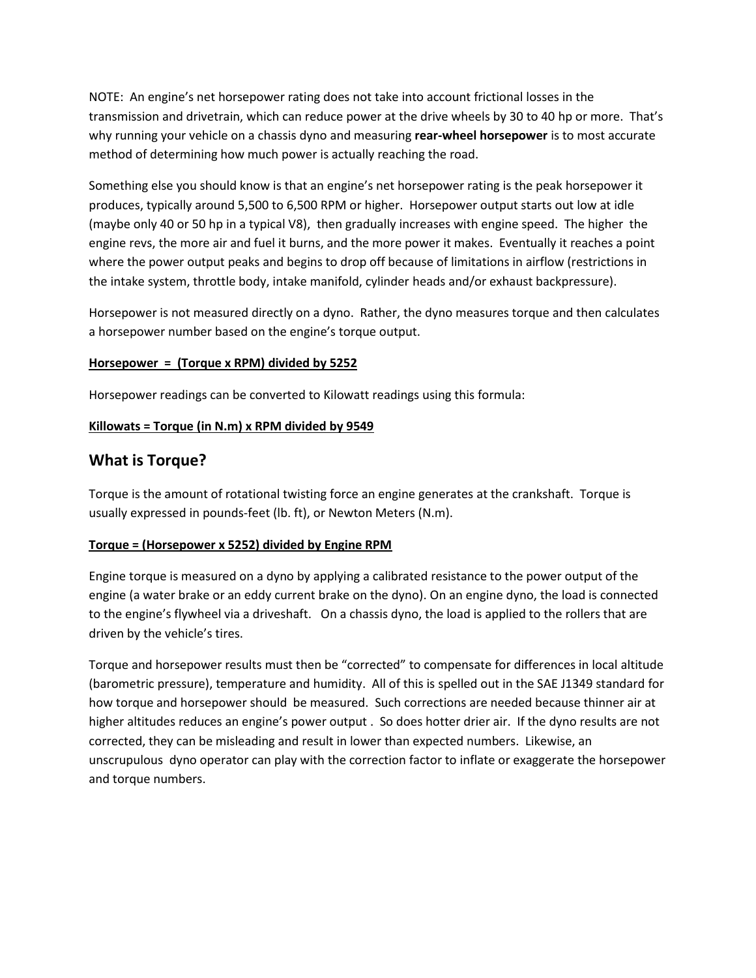NOTE: An engine's net horsepower rating does not take into account frictional losses in the transmission and drivetrain, which can reduce power at the drive wheels by 30 to 40 hp or more. That's why running your vehicle on a chassis dyno and measuring **rear-wheel horsepower** is to most accurate method of determining how much power is actually reaching the road.

Something else you should know is that an engine's net horsepower rating is the peak horsepower it produces, typically around 5,500 to 6,500 RPM or higher. Horsepower output starts out low at idle (maybe only 40 or 50 hp in a typical V8), then gradually increases with engine speed. The higher the engine revs, the more air and fuel it burns, and the more power it makes. Eventually it reaches a point where the power output peaks and begins to drop off because of limitations in airflow (restrictions in the intake system, throttle body, intake manifold, cylinder heads and/or exhaust backpressure).

Horsepower is not measured directly on a dyno. Rather, the dyno measures torque and then calculates a horsepower number based on the engine's torque output.

#### **Horsepower = (Torque x RPM) divided by 5252**

Horsepower readings can be converted to Kilowatt readings using this formula:

#### **Killowats = Torque (in N.m) x RPM divided by 9549**

## **What is Torque?**

Torque is the amount of rotational twisting force an engine generates at the crankshaft. Torque is usually expressed in pounds-feet (lb. ft), or Newton Meters (N.m).

#### **Torque = (Horsepower x 5252) divided by Engine RPM**

Engine torque is measured on a dyno by applying a calibrated resistance to the power output of the engine (a water brake or an eddy current brake on the dyno). On an engine dyno, the load is connected to the engine's flywheel via a driveshaft. On a chassis dyno, the load is applied to the rollers that are driven by the vehicle's tires.

Torque and horsepower results must then be "corrected" to compensate for differences in local altitude (barometric pressure), temperature and humidity. All of this is spelled out in the SAE J1349 standard for how torque and horsepower should be measured. Such corrections are needed because thinner air at higher altitudes reduces an engine's power output . So does hotter drier air. If the dyno results are not corrected, they can be misleading and result in lower than expected numbers. Likewise, an unscrupulous dyno operator can play with the correction factor to inflate or exaggerate the horsepower and torque numbers.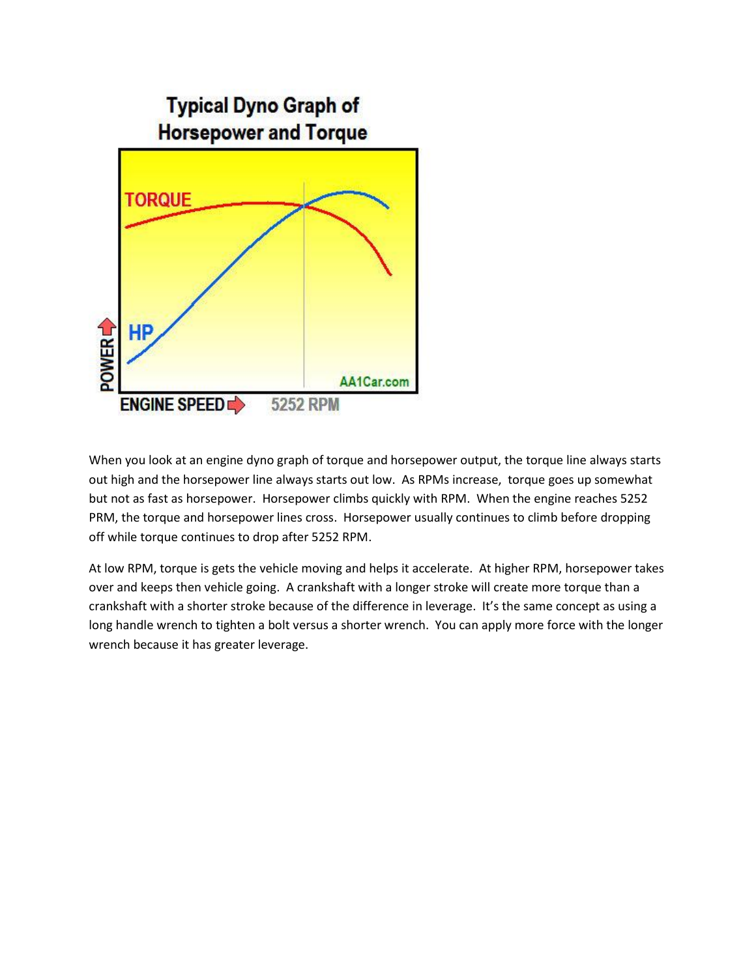

When you look at an engine dyno graph of torque and horsepower output, the torque line always starts out high and the horsepower line always starts out low. As RPMs increase, torque goes up somewhat but not as fast as horsepower. Horsepower climbs quickly with RPM. When the engine reaches 5252 PRM, the torque and horsepower lines cross. Horsepower usually continues to climb before dropping off while torque continues to drop after 5252 RPM.

At low RPM, torque is gets the vehicle moving and helps it accelerate. At higher RPM, horsepower takes over and keeps then vehicle going. A crankshaft with a longer stroke will create more torque than a crankshaft with a shorter stroke because of the difference in leverage. It's the same concept as using a long handle wrench to tighten a bolt versus a shorter wrench. You can apply more force with the longer wrench because it has greater leverage.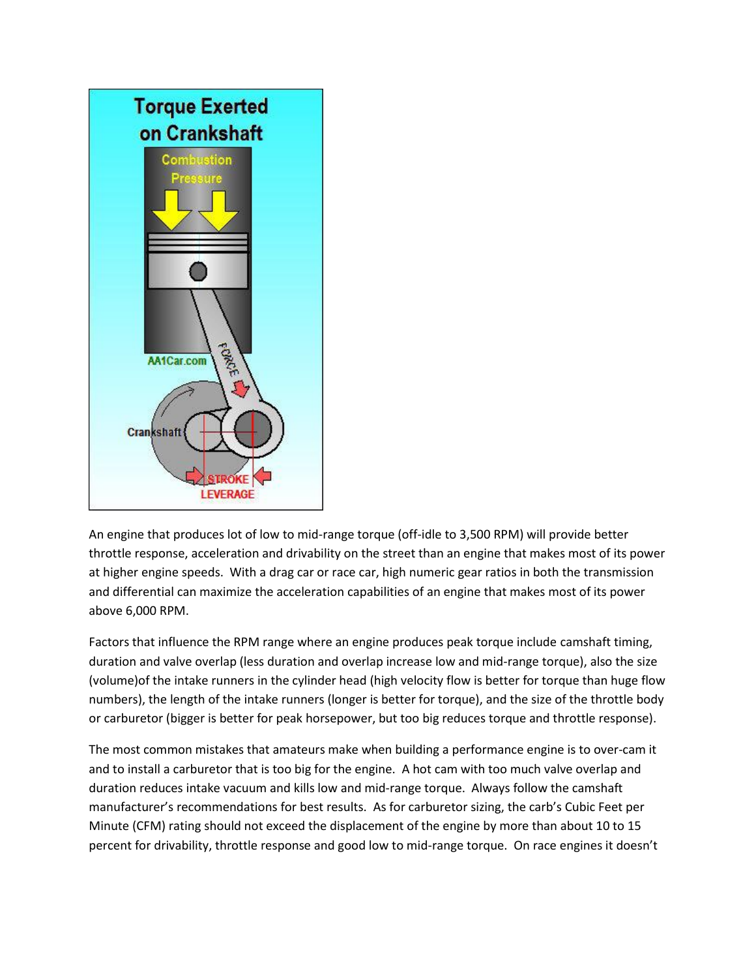

An engine that produces lot of low to mid-range torque (off-idle to 3,500 RPM) will provide better throttle response, acceleration and drivability on the street than an engine that makes most of its power at higher engine speeds. With a drag car or race car, high numeric gear ratios in both the transmission and differential can maximize the acceleration capabilities of an engine that makes most of its power above 6,000 RPM.

Factors that influence the RPM range where an engine produces peak torque include camshaft timing, duration and valve overlap (less duration and overlap increase low and mid-range torque), also the size (volume)of the intake runners in the cylinder head (high velocity flow is better for torque than huge flow numbers), the length of the intake runners (longer is better for torque), and the size of the throttle body or carburetor (bigger is better for peak horsepower, but too big reduces torque and throttle response).

The most common mistakes that amateurs make when building a performance engine is to over-cam it and to install a carburetor that is too big for the engine. A hot cam with too much valve overlap and duration reduces intake vacuum and kills low and mid-range torque. Always follow the camshaft manufacturer's recommendations for best results. As for carburetor sizing, the carb's Cubic Feet per Minute (CFM) rating should not exceed the displacement of the engine by more than about 10 to 15 percent for drivability, throttle response and good low to mid-range torque. On race engines it doesn't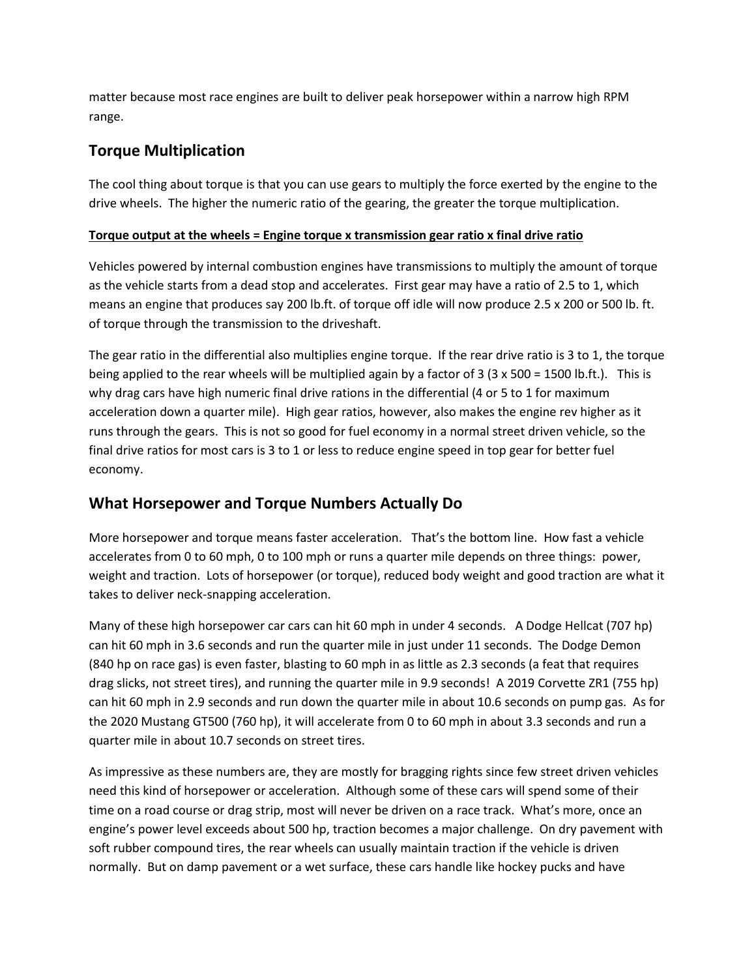matter because most race engines are built to deliver peak horsepower within a narrow high RPM range.

# **Torque Multiplication**

The cool thing about torque is that you can use gears to multiply the force exerted by the engine to the drive wheels. The higher the numeric ratio of the gearing, the greater the torque multiplication.

#### **Torque output at the wheels = Engine torque x transmission gear ratio x final drive ratio**

Vehicles powered by internal combustion engines have transmissions to multiply the amount of torque as the vehicle starts from a dead stop and accelerates. First gear may have a ratio of 2.5 to 1, which means an engine that produces say 200 lb.ft. of torque off idle will now produce 2.5 x 200 or 500 lb. ft. of torque through the transmission to the driveshaft.

The gear ratio in the differential also multiplies engine torque. If the rear drive ratio is 3 to 1, the torque being applied to the rear wheels will be multiplied again by a factor of 3 (3 x 500 = 1500 lb.ft.). This is why drag cars have high numeric final drive rations in the differential (4 or 5 to 1 for maximum acceleration down a quarter mile). High gear ratios, however, also makes the engine rev higher as it runs through the gears. This is not so good for fuel economy in a normal street driven vehicle, so the final drive ratios for most cars is 3 to 1 or less to reduce engine speed in top gear for better fuel economy.

# **What Horsepower and Torque Numbers Actually Do**

More horsepower and torque means faster acceleration. That's the bottom line. How fast a vehicle accelerates from 0 to 60 mph, 0 to 100 mph or runs a quarter mile depends on three things: power, weight and traction. Lots of horsepower (or torque), reduced body weight and good traction are what it takes to deliver neck-snapping acceleration.

Many of these high horsepower car cars can hit 60 mph in under 4 seconds. A Dodge Hellcat (707 hp) can hit 60 mph in 3.6 seconds and run the quarter mile in just under 11 seconds. The Dodge Demon (840 hp on race gas) is even faster, blasting to 60 mph in as little as 2.3 seconds (a feat that requires drag slicks, not street tires), and running the quarter mile in 9.9 seconds! A 2019 Corvette ZR1 (755 hp) can hit 60 mph in 2.9 seconds and run down the quarter mile in about 10.6 seconds on pump gas. As for the 2020 Mustang GT500 (760 hp), it will accelerate from 0 to 60 mph in about 3.3 seconds and run a quarter mile in about 10.7 seconds on street tires.

As impressive as these numbers are, they are mostly for bragging rights since few street driven vehicles need this kind of horsepower or acceleration. Although some of these cars will spend some of their time on a road course or drag strip, most will never be driven on a race track. What's more, once an engine's power level exceeds about 500 hp, traction becomes a major challenge. On dry pavement with soft rubber compound tires, the rear wheels can usually maintain traction if the vehicle is driven normally. But on damp pavement or a wet surface, these cars handle like hockey pucks and have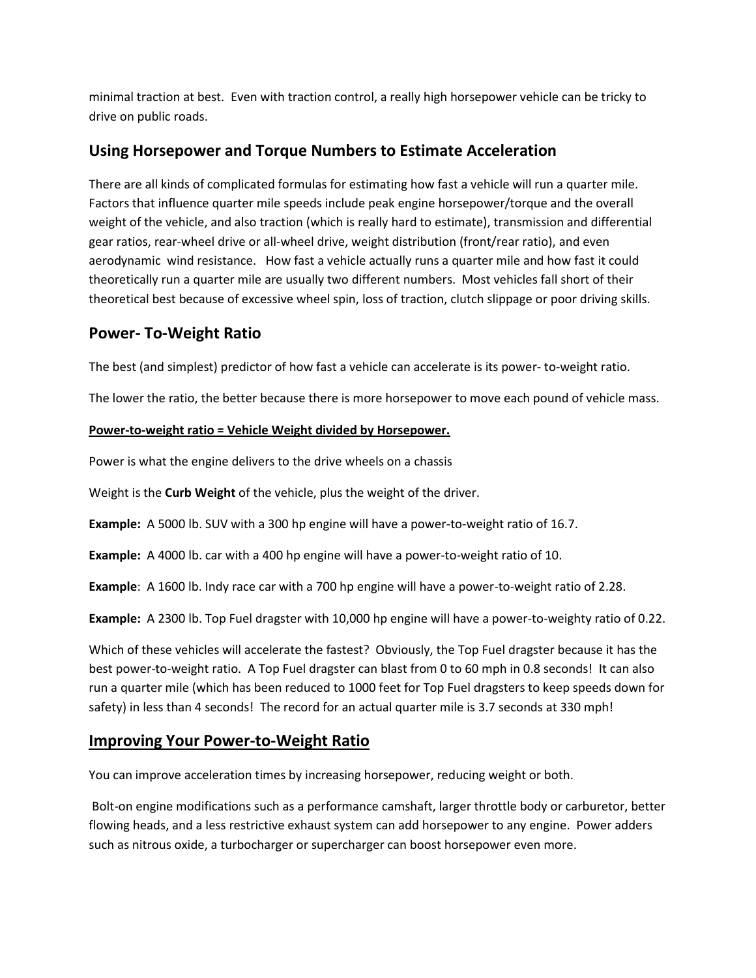minimal traction at best. Even with traction control, a really high horsepower vehicle can be tricky to drive on public roads.

## **Using Horsepower and Torque Numbers to Estimate Acceleration**

There are all kinds of complicated formulas for estimating how fast a vehicle will run a quarter mile. Factors that influence quarter mile speeds include peak engine horsepower/torque and the overall weight of the vehicle, and also traction (which is really hard to estimate), transmission and differential gear ratios, rear-wheel drive or all-wheel drive, weight distribution (front/rear ratio), and even aerodynamic wind resistance. How fast a vehicle actually runs a quarter mile and how fast it could theoretically run a quarter mile are usually two different numbers. Most vehicles fall short of their theoretical best because of excessive wheel spin, loss of traction, clutch slippage or poor driving skills.

## **Power- To-Weight Ratio**

The best (and simplest) predictor of how fast a vehicle can accelerate is its power- to-weight ratio.

The lower the ratio, the better because there is more horsepower to move each pound of vehicle mass.

#### **Power-to-weight ratio = Vehicle Weight divided by Horsepower.**

Power is what the engine delivers to the drive wheels on a chassis

Weight is the **Curb Weight** of the vehicle, plus the weight of the driver.

**Example:** A 5000 lb. SUV with a 300 hp engine will have a power-to-weight ratio of 16.7.

**Example:** A 4000 lb. car with a 400 hp engine will have a power-to-weight ratio of 10.

**Example**: A 1600 lb. Indy race car with a 700 hp engine will have a power-to-weight ratio of 2.28.

**Example:** A 2300 lb. Top Fuel dragster with 10,000 hp engine will have a power-to-weighty ratio of 0.22.

Which of these vehicles will accelerate the fastest? Obviously, the Top Fuel dragster because it has the best power-to-weight ratio. A Top Fuel dragster can blast from 0 to 60 mph in 0.8 seconds! It can also run a quarter mile (which has been reduced to 1000 feet for Top Fuel dragsters to keep speeds down for safety) in less than 4 seconds! The record for an actual quarter mile is 3.7 seconds at 330 mph!

#### **Improving Your Power-to-Weight Ratio**

You can improve acceleration times by increasing horsepower, reducing weight or both.

Bolt-on engine modifications such as a performance camshaft, larger throttle body or carburetor, better flowing heads, and a less restrictive exhaust system can add horsepower to any engine. Power adders such as nitrous oxide, a turbocharger or supercharger can boost horsepower even more.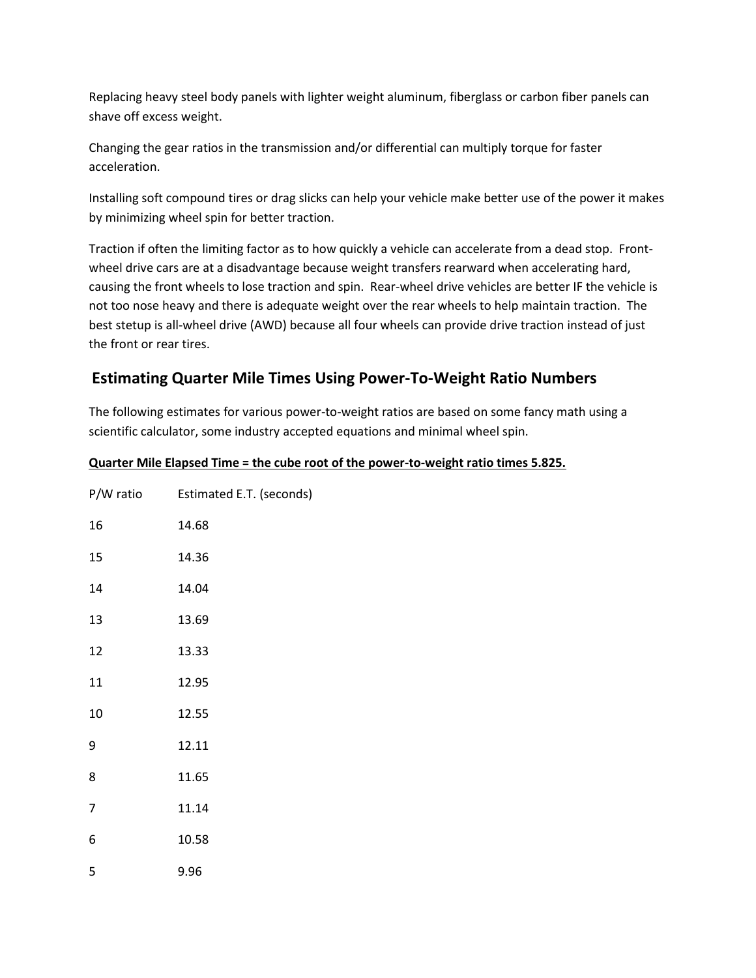Replacing heavy steel body panels with lighter weight aluminum, fiberglass or carbon fiber panels can shave off excess weight.

Changing the gear ratios in the transmission and/or differential can multiply torque for faster acceleration.

Installing soft compound tires or drag slicks can help your vehicle make better use of the power it makes by minimizing wheel spin for better traction.

Traction if often the limiting factor as to how quickly a vehicle can accelerate from a dead stop. Frontwheel drive cars are at a disadvantage because weight transfers rearward when accelerating hard, causing the front wheels to lose traction and spin. Rear-wheel drive vehicles are better IF the vehicle is not too nose heavy and there is adequate weight over the rear wheels to help maintain traction. The best stetup is all-wheel drive (AWD) because all four wheels can provide drive traction instead of just the front or rear tires.

# **Estimating Quarter Mile Times Using Power-To-Weight Ratio Numbers**

The following estimates for various power-to-weight ratios are based on some fancy math using a scientific calculator, some industry accepted equations and minimal wheel spin.

| P/W ratio      | Estimated E.T. (seconds) |
|----------------|--------------------------|
| 16             | 14.68                    |
| 15             | 14.36                    |
| 14             | 14.04                    |
| 13             | 13.69                    |
| 12             | 13.33                    |
| 11             | 12.95                    |
| 10             | 12.55                    |
| 9              | 12.11                    |
| 8              | 11.65                    |
| $\overline{7}$ | 11.14                    |
| 6              | 10.58                    |
| 5              | 9.96                     |

#### **Quarter Mile Elapsed Time = the cube root of the power-to-weight ratio times 5.825.**